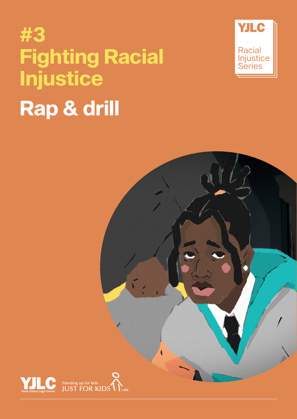# **#3 Fighting Racial Injustice Rap & drill**





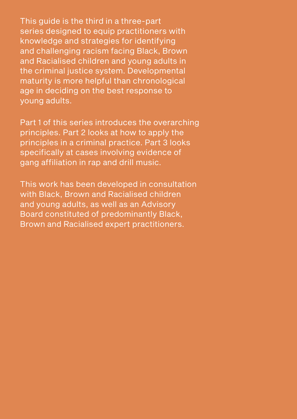This guide is the third in a three-part series designed to equip practitioners with knowledge and strategies for identifying and challenging racism facing Black, Brown and Racialised children and young adults in the criminal justice system. Developmental maturity is more helpful than chronological age in deciding on the best response to young adults.

Part 1 of this series introduces the overarching principles. Part 2 looks at how to apply the principles in a criminal practice. Part 3 looks specifically at cases involving evidence of gang affiliation in rap and drill music.

This work has been developed in consultation with Black, Brown and Racialised children and young adults, as well as an Advisory Board constituted of predominantly Black, Brown and Racialised expert practitioners.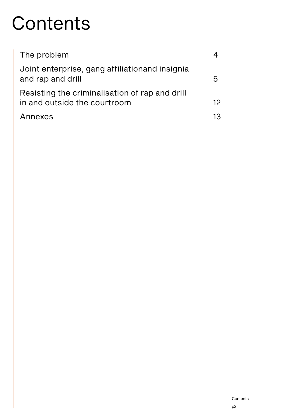# **Contents**

| The problem                                                                    |                 |
|--------------------------------------------------------------------------------|-----------------|
| Joint enterprise, gang affiliation and insignia<br>and rap and drill           | h               |
| Resisting the criminalisation of rap and drill<br>in and outside the courtroom | 12 <sup>°</sup> |
| Annexes                                                                        | 13              |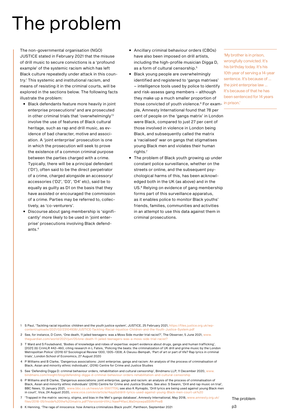# <span id="page-3-0"></span>The problem

The non-governmental organisation (NGO) JUSTICE stated in February 2021 that the misuse of drill music to secure convictions is a 'profound example' of the systemic racism which has left Black culture repeatedly under attack in this country.1 This systemic and institutional racism, and means of resisting it in the criminal courts, will be explored in the sections below. The following facts illustrate the problem:

- Black defendants feature more heavily in joint enterprise prosecutions<sup>2</sup> and are prosecuted in other criminal trials that 'overwhelmingly'3 involve the use of features of Black cultural heritage, such as rap and drill music, as evidence of bad character, motive and association. A 'joint enterprise' prosecution is one in which the prosecution will seek to prove the existence of a common criminal purpose between the parties charged with a crime. Typically, there will be a principal defendant ('D1'), often said to be the direct perpetrator of a crime, charged alongside an accessory/ accessories ('D2', 'D3', 'D4' etc), said be to equally as guilty as D1 on the basis that they have assisted or encouraged the commission of a crime. Parties may be referred to, collectively, as 'co-venturers'.
- Discourse about gang membership is 'significantly' more likely to be used in 'joint enterprise' prosecutions involving Black defendants.4
- Ancillary criminal behaviour orders (CBOs) have also been imposed on drill artists, including the high-profile musician Digga D, as a form of cultural censorship.<sup>5</sup>
- Black young people are overwhelmingly identified and registered to 'gangs matrixes' – intelligence tools used by police to identify and risk-assess gang members – although they make up a much smaller proportion of those convicted of youth violence.<sup>6</sup> For exam- <sup>in prison.'</sup> ple, Amnesty International found that 78 per cent of people on the 'gangs matrix' in London were Black, compared to just 27 per cent of those involved in violence in London being Black, and subsequently called the matrix a 'racialised' war on gangs that stigmatises young Black men and violates their human rights.7
- The problem of Black youth growing up under constant police surveillance, whether on the streets or online, and the subsequent psychological harms of this, has been acknowledged both in the UK (as above) and in the US.8 Relying on evidence of gang membership forms part of this surveillance apparatus, as it enables police to monitor Black youths' friends, families, communities and activities in an attempt to use this data against them in criminal prosecutions.

'My brother is in prison, wrongfully convicted. It's his birthday today. It's his 10th year of serving a 14-year sentence. It's because of ... the joint enterprise law ... It's because of that he has been sentenced for 14 years

- 1 S Paul, 'Tackling racial injustice: children and the youth justice system', JUSTICE, 25 February 2021, [https://files.justice.org.uk/wp-](https://files.justice.org.uk/wp-content/uploads/2021/02/23104938/JUSTICE-Tackling-Racial-Injustice-Children-and-the-Youth-Justice-System.pdf)23104938/JUSTICE-Tackling-Racial-Injustice-Children-and-the-Youth-Justice-System.pd
- 2 See, for instance, D Conn, 'One death, 11 jailed teenagers: was a Moss Side murder trial racist?', The Observer, 5 June 2021, [www.](http://www.theguardian.com/world/2021/jun/05/one-death-11-jailed-teenagers-was-a-moss-side-trial-racist?) dian.com/world/2021/jun/05/one-death-11-jailed-teenagers-was-a-moss-side-trial-rac
- 3 T Ward and S Fouladvand, 'Bodies of knowledge and robes of expertise: expert evidence about drugs, gangs and human trafficking', [2021] (6) CrimLR 442–460, citing research in L Fatsis, 'Policing the beats: the criminalization of UK drill and grime music by the London Metropolitan Police' (2019) 67 Sociological Review 1300, 1305–1308; A Owusu-Bempah, 'Part of art or part of life? Rap lyrics in criminal trials', London School of Economics, 27 August 2020
- 4 P Williams and B Clarke, 'Dangerous associations: Joint enterprise, gangs and racism: An analysis of the process of criminalisation of Black, Asian and minority ethnic individuals', (2016) Centre for Crime and Justice Studies
- 5 See 'Defending Digga D: criminal behaviour orders, rehabilitation and cultural censorship', Bindmans LLP, 11 December 2020, [www.](http://www.bindmans.com/insight/blog/defending-digga-d-criminal-behaviour-orders-rehabilitation-and-cultural-censorship) ight/blog/defending-digga-d-criminal-behaviour-orders-rehabilitation-and-cultural-c
- 6 P Williams and B Clarke, 'Dangerous associations: joint enterprise, gangs and racism: an analysis of the process of criminalisation of Black, Asian and minority ethnic individuals' (2016) Centre for Crime and Justice Studies. See also: S Swann, 'Drill and rap music on trial', BBC News, 13 January 2021, [www.bbc.co.uk/news/uk-55617706;](http://www.bbc.co.uk/news/uk-55617706) see also K Rymajdo, 'Drill lyrics are being used against young Black men in court', Vice, 24 August 2020, [www.vice.com/en/article/4ayp5d/drill-lyrics-used-against-young-Black-men-court-uk%20](http://www.vice.com/en/article/4ayp5d/drill-lyrics-used-against-young-Black-men-court-uk%20)
- 7 'Trapped in the matrix: secrecy, stigma, and bias in the Met's gangs database', Amnesty International, May 2018, [www.amnesty.org.uk/](http://www.amnesty.org.uk/files/2018-05/Inside%20the%20matrix.pdf?VersionId=VtHJ.NawP4favLWa0mjswpaSStRrPneB) [files/2018-05/Inside%20the%20matrix.pdf?VersionId=VtHJ.NawP4favLWa0mjswpaSStRrPneB](http://www.amnesty.org.uk/files/2018-05/Inside%20the%20matrix.pdf?VersionId=VtHJ.NawP4favLWa0mjswpaSStRrPneB)

8 K Henning, 'The rage of innocence: how America criminalizes Black youth', Pantheon, September 2021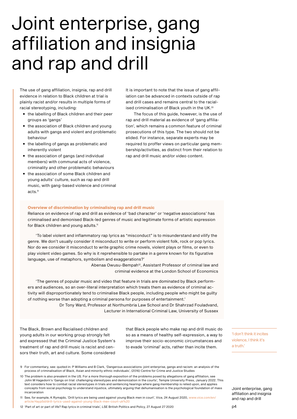## <span id="page-4-0"></span>Joint enterprise, gang affiliation and insignia and rap and drill

The use of gang affiliation, insignia, rap and drill evidence in relation to Black children at trial is plainly racist and/or results in multiple forms of racial stereotyping, including:

- the labelling of Black children and their peer groups as 'gangs'
- the association of Black children and young adults with gangs and violent and problematic behaviour
- the labelling of gangs as problematic and inherently violent
- the association of gangs (and individual members) with communal acts of violence, criminality and other problematic behaviours
- the association of some Black children and young adults' culture, such as rap and drill music, with gang-based violence and criminal acts.9

It is important to note that the issue of gang affiliation can be advanced in contexts outside of rap and drill cases and remains central to the racialised criminalisation of Black youth in the UK.10

The focus of this guide, however, is the use of rap and drill material as evidence of 'gang affiliation', which remains a common feature of criminal prosecutions of this type. The two should not be elided. For instance, separate experts may be required to proffer views on particular gang membership/activities, as distinct from their relation to rap and drill music and/or video content.

#### **Overview of discrimination by criminalising rap and drill music**

Reliance on evidence of rap and drill as evidence of 'bad character' or 'negative associations' has criminalised and demonised Black-led genres of music and legitimate forms of artistic expression for Black children and young adults.<sup>11</sup>

'To label violent and inflammatory rap lyrics as "misconduct" is to misunderstand and vilify the genre. We don't usually consider it misconduct to write or perform violent folk, rock or pop lyrics. Nor do we consider it misconduct to write graphic crime novels, violent plays or films, or even to play violent video games. So why is it reprehensible to partake in a genre known for its figurative language, use of metaphors, symbolism and exaggerations?'

> Abenaa Owusu-Bempah<sup>12</sup>, Assistant Professor of criminal law and criminal evidence at the London School of Economics

'The genres of popular music and video that feature in trials are dominated by Black performers and audiences, so an over-literal interpretation which treats them as evidence of criminal activity will disproportionately tend to criminalise Black people, including people who might be guilty of nothing worse than adopting a criminal persona for purposes of entertainment.'

> Dr Tony Ward, Professor at Northumbria Law School and Dr Shahrzad Fouladvand, Lecturer in International Criminal Law, University of Sussex

The Black, Brown and Racialised children and young adults in our working group strongly felt and expressed that the Criminal Justice System's treatment of rap and drill music is racist and censors their truth, art and culture. Some considered

that Black people who make rap and drill music do so as a means of healthy self-expression, a way to improve their socio-economic circumstances and to evade 'criminal' acts, rather than incite them.

'I don't think it incites violence, I think it's a truth.'

Joint enterprise, gang affiliation and insignia and rap and drill

- 9 For commentary, see: quoted in: P Williams and B Clark, 'Dangerous associations: joint enterprise, gangs and racism: an analysis of the process of criminalisation of Black, Asian and minority ethnic individuals', (2016) Centre for Crime and Justice Studies
- 10 The problem is also prevalent in the US. For a more thorough exposition of the problems posed by allegations of gang affiliation, see John M Hagedorn's 'Gangs on trial: challenging stereotypes and demonization in the courts', Temple University Press, January 2022. This text considers how to combat racial stereotypes in trials and sentencing hearings where gang membership is relied upon, and applies concepts from social psychology to understand injustice, ultimately arguing that dehumanisation is the psychological foundation of mass incarceration
- 11 See, for example, K Rymajdo, 'Drill lyrics are being used against young Black men in court', Vice, 24 August 2020, [www.vice.com/en/](http://www.vice.com/en/article/4ayp5d/drill-lyrics-used-against-young-Black-men-court-uk%20) [article/4ayp5d/drill-lyrics-used-against-young-Black-men-court-uk%20](http://www.vice.com/en/article/4ayp5d/drill-lyrics-used-against-young-Black-men-court-uk%20)

12 'Part of art or part of life? Rap lyrics in criminal trials', LSE British Politics and Policy, 27 August 27 2020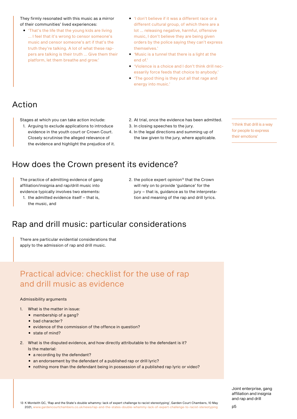They firmly resonated with this music as a mirror of their communities' lived experiences:

- 'That's the life that the young kids are living ... I feel that it's wrong to censor someone's music and censor someone's art if that's the truth they're talking. A lot of what these rappers are talking is their truth ... Give them their platform, let them breathe and grow.'
- 'I don't believe if it was a different race or a different cultural group, of which there are a lot ... releasing negative, harmful, offensive music, I don't believe they are being given orders by the police saying they can't express themselves.'
- 'Music is a tunnel that there is a light at the end of.'
- 'Violence is a choice and I don't think drill necessarily force feeds that choice to anybody.'
- 'The good thing is they put all that rage and energy into music.'

## Action

Stages at which you can take action include:

- 1. Arguing to exclude applications to introduce evidence in the youth court or Crown Court. Closely scrutinise the alleged relevance of the evidence and highlight the prejudice of it.
- 2. At trial, once the evidence has been admitted.
- 3. In closing speeches to the jury.
- 4. In the legal directions and summing up of the law given to the jury, where applicable.

'I think that drill is a way for people to express their emotions'

## How does the Crown present its evidence?

The practice of admitting evidence of gang affiliation/insignia and rap/drill music into evidence typically involves two elements:

- 1. the admitted evidence itself that is, the music, and
- 2. the police expert opinion<sup>13</sup> that the Crown will rely on to provide 'guidance' for the jury – that is, guidance as to the interpretation and meaning of the rap and drill lyrics.

## Rap and drill music: particular considerations

There are particular evidential considerations that apply to the admission of rap and drill music.

## Practical advice: checklist for the use of rap and drill music as evidence

#### Admissibility arguments

- 1. What is the matter in issue:
	- membership of a gang?
	- bad character?
	- evidence of the commission of the offence in question?
	- state of mind?
- 2. What is the disputed evidence, and how directly attributable to the defendant is it? Is the material:
	- a recording by the defendant?
	- an endorsement by the defendant of a published rap or drill lyric?
	- nothing more than the defendant being in possession of a published rap lyric or video?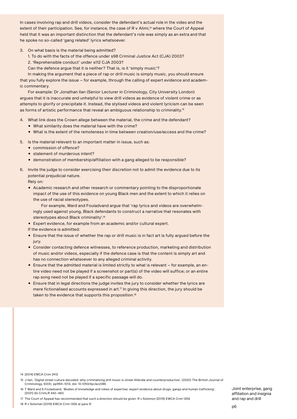In cases involving rap and drill videos, consider the defendant's actual role in the video and the extent of their participation. See, for instance, the case of R v Alimi,<sup>14</sup> where the Court of Appeal held that it was an important distinction that the defendant's role was simply as an extra and that he spoke no so-called 'gang related' lyrics whatsoever.

- 3. On what basis is the material being admitted?
	- 1. To do with the facts of the offence under s98 Criminal Justice Act (CJA) 2003?
	- 2. 'Reprehensible conduct' under s112 CJA 2003?
	- Can the defence argue that it is neither? That is, is it 'simply music'?

In making the argument that a piece of rap or drill music is simply music, you should ensure that you fully explore the issue – for example, through the calling of expert evidence and academic commentary.

For example: Dr Jonathan Ilan (Senior Lecturer in Criminology, City University London) argues that it is inaccurate and unhelpful to view drill videos as evidence of violent crime or as attempts to glorify or precipitate it. Instead, the stylised videos and violent lyricism can be seen as forms of artistic performance that reveal an ambiguous relationship to criminality.<sup>15</sup>

- 4. What link does the Crown allege between the material, the crime and the defendant?
	- What similarity does the material have with the crime?
	- What is the extent of the remoteness in time between creation/use/access and the crime?
- 5. Is the material relevant to an important matter in issue, such as:
	- commission of offence?
	- statement of murderous intent?
	- demonstration of membership/affiliation with a gang alleged to be responsible?
- 6. Invite the judge to consider exercising their discretion not to admit the evidence due to its potential prejudicial nature.

Rely on:

• Academic research and other research or commentary pointing to the disproportionate impact of the use of this evidence on young Black men and the extent to which it relies on the use of racial stereotypes.

For example, Ward and Fouladvand argue that 'rap lyrics and videos are overwhelmingly used against young, Black defendants to construct a narrative that resonates with stereotypes about Black criminality'.<sup>16</sup>

- Expert evidence, for example from an academic and/or cultural expert.
- If the evidence is admitted:
- Ensure that the issue of whether the rap or drill music is in fact art is fully argued before the jury.
- Consider contacting defence witnesses, to reference production, marketing and distribution of music and/or videos, especially if the defence case is that the content is simply art and has no connection whatsoever to any alleged criminal activity.
- Ensure that the admitted material is limited strictly to what is relevant for example, an entire video need not be played if a screenshot or part(s) of the video will suffice; or an entire rap song need not be played if a specific passage will do.
- Ensure that in legal directions the judge invites the jury to consider whether the lyrics are mere fictionalised accounts expressed in art.<sup>17</sup> In giving this direction, the jury should be taken to the evidence that supports this proposition.<sup>18</sup>

17 The Court of Appeal has recommended that such a direction should be given: R v Solomon [2019] EWCA Crim 1356

<sup>14</sup> [2014] EWCA Crim 2412

<sup>15</sup> J Ilan, 'Digital street culture decoded: why criminalizing drill music is street illiterate and counterproductive', (2020) The British Journal of Criminology, 60(4), pp994–1013, doi: 10.1093/bjc/azz086

<sup>16</sup> T Ward and S Fouladvand, 'Bodies of knowledge and robes of expertise: expert evidence about drugs, gangs and human trafficking', [2021] (6) CrimLR 442–460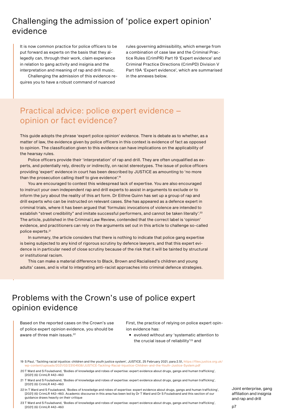## Challenging the admission of 'police expert opinion' evidence

It is now common practice for police officers to be put forward as experts on the basis that they allegedly can, through their work, claim experience in relation to gang activity and insignia and the interpretation and meaning of rap and drill music.

Challenging the admission of this evidence requires you to have a robust command of nuanced

rules governing admissibility, which emerge from a combination of case law and the Criminal Practice Rules (CrimPR) Part 19 'Expert evidence' and Criminal Practice Directions (CrimPD) Division V Part 19A 'Expert evidence', which are summarised in the annexes below.

## Practical advice: police expert evidence – opinion or fact evidence?

This guide adopts the phrase 'expert police opinion' evidence. There is debate as to whether, as a matter of law, the evidence given by police officers in this context is evidence of fact as opposed to opinion. The classification given to this evidence can have implications on the applicability of the hearsay rules.

Police officers provide their 'interpretation' of rap and drill. They are often unqualified as experts, and potentially rely, directly or indirectly, on racist stereotypes. The issue of police officers providing 'expert' evidence in court has been described by JUSTICE as amounting to 'no more than the prosecution calling itself to give evidence'.<sup>19</sup>

You are encouraged to contest this widespread lack of expertise. You are also encouraged to instruct your own independent rap and drill experts to assist in arguments to exclude or to inform the jury about the reality of this art form. Dr Eithne Quinn has set up a group of rap and drill experts who can be instructed on relevant cases. She has appeared as a defence expert in criminal trials, where it has been argued that 'formulaic invocations of violence are intended to establish "street credibility" and imitate successful performers, and cannot be taken literally'.<sup>20</sup> The article, published in the Criminal Law Review, contended that the correct label is 'opinion' evidence, and practitioners can rely on the arguments set out in this article to challenge so-called police experts.<sup>21</sup>

In summary, the article considers that there is nothing to indicate that police gang expertise is being subjected to any kind of rigorous scrutiny by defence lawyers, and that this expert evidence is in particular need of close scrutiny because of the risk that it will be tainted by structural or institutional racism.

This can make a material difference to Black, Brown and Racialised's children and young adults' cases, and is vital to integrating anti-racist approaches into criminal defence strategies.

### Problems with the Crown's use of police expert opinion evidence

Based on the reported cases on the Crown's use of police expert opinion evidence, you should be aware of three main issues.<sup>22</sup>

First, the practice of relying on police expert opinion evidence has:

• evolved without any 'systematic attention to the crucial issue of reliability'<sup>23</sup> and

19 S Paul, 'Tackling racial injustice: children and the youth justice system', JUSTICE, 25 February 2021, para 2.51, [https://files.justice.org.uk/](https://files.justice.org.uk/wp-content/uploads/2021/02/23104938/JUSTICE-Tackling-Racial-Injustice-Children-and-the-Youth-Justice-System.pdf) [wp-content/uploads/2021/02/23104938/JUSTICE-Tackling-Racial-Injustice-Children-and-the-Youth-Justice-System.pdf](https://files.justice.org.uk/wp-content/uploads/2021/02/23104938/JUSTICE-Tackling-Racial-Injustice-Children-and-the-Youth-Justice-System.pdf)

20T Ward and S Fouladvand, 'Bodies of knowledge and robes of expertise: expert evidence about drugs, gangs and human trafficking', [2021] (6) CrimLR 442–460

- 21 T Ward and S Fouladvand, 'Bodies of knowledge and robes of expertise: expert evidence about drugs, gangs and human trafficking', [2021] (6) CrimLR 442–460
- 22 In T Ward and S Fouladvand, 'Bodies of knowledge and robes of expertise: expert evidence about drugs, gangs and human trafficking', [2021] (6) CrimLR 442–460. Academic discourse in this area has been led by Dr T Ward and Dr S Fouladvand and this section of our guidance draws heavily on their critique

23 T Ward and S Fouladvand, 'Bodies of knowledge and robes of expertise: expert evidence about drugs, gangs and human trafficking', [2021] (6) CrimLR 442–460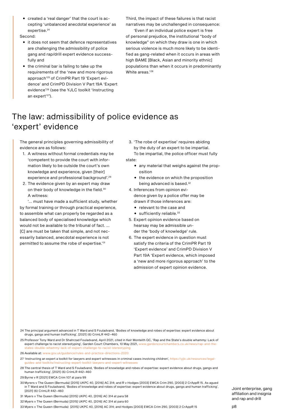• created a 'real danger' that the court is accepting 'unbalanced anecdotal experience' as expertise.<sup>24</sup>

Second:

- it does not seem that defence representatives are challenging the admissibility of police gang and rap/drill expert evidence successfully and
- the criminal bar is failing to take up the requirements of the 'new and more rigorous approach'25 of CrimPR Part 19 'Expert evidence' and CrimPD Division V Part 19A 'Expert evidence'26 (see the YJLC toolkit 'Instructing an expert'<sup>27</sup>).

Third, the impact of these failures is that racist narratives may be unchallenged in consequence:

'Even if an individual police expert is free of personal prejudice, the institutional "body of knowledge" on which they draw is one in which serious violence is much more likely to be identified as gang-related when it occurs in areas with high BAME [Black, Asian and minority ethnic] populations than when it occurs in predominantly White areas.'28

## The law: admissibility of police evidence as 'expert' evidence

The general principles governing admissibility of evidence are as follows:

- 1. A witness without formal credentials may be 'competent to provide the court with information likely to be outside the court's own knowledge and experience, given [their] experience and professional background'.29
- 2. The evidence given by an expert may draw on their body of knowledge in the field.<sup>30</sup> A witness:

'... must have made a sufficient study, whether by formal training or through practical experience, to assemble what can properly be regarded as a balanced body of specialised knowledge which would not be available to the tribunal of fact. … [C] are must be taken that simple, and not necessarily balanced, anecdotal experience is not permitted to assume the robe of expertise.'31

- 3. 'The robe of expertise' requires abiding by the duty of an expert to be impartial. To be impartial, the police officer must fully state:
	- any material that weighs against the proposition
	- the evidence on which the proposition being advanced is based.<sup>32</sup>
	- 4. Inferences from opinion evidence given by a police offer may be drawn if those inferences are:
		- relevant to the case and
		- $\bullet$  sufficiently reliable. $33$
- 5. Expert opinion evidence based on hearsay may be admissible under the 'body of knowledge' rule.
- 6. The expert evidence in question must satisfy the criteria of the CrimPR Part 19 'Expert evidence' and CrimPD Division V Part 19A 'Expert evidence, which imposed a 'new and more rigorous approach' to the admission of expert opinion evidence.

24 The principal argument advanced in T Ward and S Fouladvand, 'Bodies of knowledge and robes of expertise: expert evidence about drugs, gangs and human trafficking', [2021] (6) CrimLR 442–460

25 Professor Tony Ward and Dr Shahrzad Fouladvand, April 2021, cited in Keir Monteith QC, 'Rap and the State's double whammy: Lack of expert challenge to racist stereotyping', Garden Court Chambers, 10 May 2021, [www.gardencourtchambers.co.uk/news/rap-and-the](http://www.gardencourtchambers.co.uk/news/rap-and-the-states-double-whammy-lack-of-expert-challenge-to-racist-stereotyping)[states-double-whammy-lack-of-expert-challenge-to-racist-stereotyping](http://www.gardencourtchambers.co.uk/news/rap-and-the-states-double-whammy-lack-of-expert-challenge-to-racist-stereotyping)

26 Available at: [www.gov.uk/guidance/rules-and-practice-directions-2020](http://www.gov.uk/guidance/rules-and-practice-directions-2020)

- 27 'Instructing an expert a toolkit for lawyers and expert witnesses in criminal cases involving children', [https://yjlc.uk/resources/legal](https://yjlc.uk/resources/legal-guides-and-toolkits/instructing-expert-toolkit-lawyers-and-expert-witnesses)[guides-and-toolkits/instructing-expert-toolkit-lawyers-and-expert-witnesses](https://yjlc.uk/resources/legal-guides-and-toolkits/instructing-expert-toolkit-lawyers-and-expert-witnesses)
- 28 The central thesis of T Ward and S Fouladvand, 'Bodies of knowledge and robes of expertise: expert evidence about drugs, gangs and human trafficking', [2021] (6) CrimLR 442–460

29 Byrne v R [2021] EWCA Crim 107 at para 99

30 Myrers v The Queen (Bermuda) [2015] UKPC 40, [2016] AC 314; and R v Hodges [2003] EWCA Crim 290, [2003] 2 CrAppR 15. As agued in T Ward and S Fouladvand, 'Bodies of knowledge and robes of expertise: expert evidence about drugs, gangs and human trafficking', [2021] (6) CrimLR 442–460

31 Myers v The Queen (Bermuda) [2015] UKPC 40, [2016] AC 314 at para 58

32 Myers v The Queen (Bermuda) [2015] UKPC 40, [2016] AC 314 at para 60

33 Myers v The Queen (Bermuda) [2015] UKPC 40, [2016] AC 314; and Hodges [2003] EWCA Crim 290, [2003] 2 CrAppR 15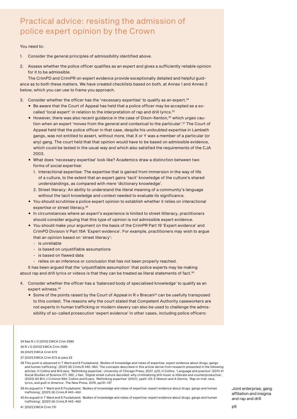## Practical advice: resisting the admission of police expert opinion by the Crown

#### You need to:

- 1. Consider the general principles of admissibility identified above.
- 2. Assess whether the police officer qualifies as an expert and gives a sufficiently reliable opinion for it to be admissible.

The CrimPD and CrimPR on expert evidence provide exceptionally detailed and helpful guidance as to both these matters. We have created checklists based on both, at Annex 1 and Annex 2 below, which you can use to frame you approach.

- 3. Consider whether the officer has the 'necessary expertise' to qualify as an expert.<sup>34</sup>
	- Be aware that the Court of Appeal has held that a police officer may be accepted as a socalled 'local expert' in relation to the interpretation of rap and drill lyrics.<sup>35</sup>
	- However, there was also recent guidance in the case of Dixon-Kenton,<sup>36</sup> which urges caution when an expert 'moves from the general and contextual to the particular'.37 The Court of Appeal held that the police officer in that case, despite his undoubted expertise in Lambeth gangs, was not entitled to assert, without more, that X or Y was a member of a particular (or any) gang. The court held that that opinion would have to be based on admissible evidence, which could be tested in the usual way and which also satisfied the requirements of the CJA 2003.
	- What does 'necessary expertise' look like? Academics draw a distinction between two forms of social expertise:
		- 1. Interactional expertise: The expertise that is gained from immersion in the way of life of a culture, to the extent that an expert gains 'tacit' knowledge of the culture's shared understandings, as compared with mere 'dictionary knowledge'.
		- 2. Street literacy: An ability to understand the literal meaning of a community's language without the tacit knowledge and context needed to evaluate its significance.
	- You should scrutinise a police expert opinion to establish whether it relies on interactional expertise or street literacy.<sup>38</sup>
	- In circumstances where an expert's experience is limited to street illiteracy, practitioners should consider arguing that this type of opinion is not admissible expert evidence.
	- You should make your argument on the basis of the CrimPR Part 19 'Expert evidence' and CrimPD Division V Part 19A 'Expert evidence'. For example, practitioners may wish to argue that an opinion based on 'street literacy':
		- is unreliable
		- is based on unjustifiable assumptions
		- is based on flawed data
		- relies on an inference or conclusion that has not been properly reached.

It has been argued that the 'unjustifiable assumption' that police experts may be making about rap and drill lyrics or videos is that they can be treated as literal statements of fact.<sup>39</sup>

- 4. Consider whether the officer has a 'balanced body of specialised knowledge' to qualify as an expert witness.<sup>40</sup>
	- Some of the points raised by the Court of Appeal in R v Brecani<sup>41</sup> can be usefully transposed to this context. The reasons why the court stated that Competent Authority caseworkers are not experts in human trafficking or modern slavery can also be used to challenge the admissibility of so-called prosecution 'expert evidence' in other cases, including police officers:

34 See R v O [2010] EWCA Crim 2985 35 R v O [2010] EWCA Crim 2985 36 [2021] EWCA Crim 673

37 [2021] EWCA Crim 673 at para 33

38 This point is advanced in T Ward and S Fouladvand, 'Bodies of knowledge and robes of expertise: expert evidence about drugs, gangs and human trafficking', [2021] (6) CrimLR 442–460. The concepts described in this article derive from research presented in the following articles: H Collins and M Evans, 'Rethinking expertise', University of Chicago Press, 2007, p23; H Collins, 'Language and practice' (2011) 41 Social Studies of Science 271, 282; J Ilan, 'Digital street culture decoded: why criminalizing drill music is illiterate and counterproductive', (2020) 60 Brit J Criminol 994; Collins and Evans, 'Rethinking expertise' (2007), pp22–23; E Nielson and A Dennis, 'Rap on trial: race, lyrics, and guilt in America', The New Press, 2019, pp131–137

39 As argued in T Ward and S Fouladvand, 'Bodies of knowledge and robes of expertise: expert evidence about drugs, gangs and human trafficking', [2021] (6) CrimLR 442–460

40As argued in T Ward and S Fouladvand, 'Bodies of knowledge and robes of expertise: expert evidence about drugs, gangs and human trafficking', [2021] (6) CrimLR 442–460

41 [2021] EWCA Crim 731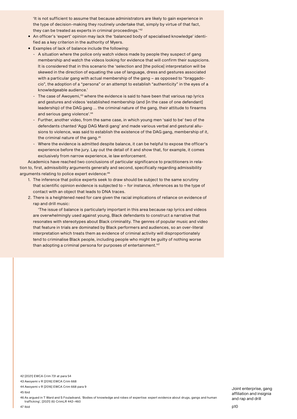'It is not sufficient to assume that because administrators are likely to gain experience in the type of decision-making they routinely undertake that, simply by virtue of that fact, they can be treated as experts in criminal proceedings.'42

- An officer's 'expert' opinion may lack the 'balanced body of specialised knowledge' identified as a key criterion in the authority of Myers.
- Examples of lack of balance include the following:
	- A situation where the police only watch videos made by people they suspect of gang membership and watch the videos looking for evidence that will confirm their suspicions. It is considered that in this scenario the 'selection and [the police] interpretation will be skewed in the direction of equating the use of language, dress and gestures associated with a particular gang with actual membership of the gang – as opposed to "braggadocio", the adoption of a "persona" or an attempt to establish "authenticity" in the eyes of a knowledgeable audience.'
	- The case of Awoyemi,<sup>43</sup> where the evidence is said to have been that various rap lyrics and gestures and videos 'established membership (and [in the case of one defendant] leadership) of the DAG gang ... the criminal nature of the gang, their attitude to firearms and serious gang violence'.44
	- Further, another video, from the same case, in which young men 'said to be' two of the defendants chanted 'Aggi DAG Mardi gang' and made various verbal and gestural allusions to violence, was said to establish the existence of the DAG gang, membership of it, the criminal nature of the gang.45
	- Where the evidence is admitted despite balance, it can be helpful to expose the officer's experience before the jury. Lay out the detail of it and show that, for example, it comes exclusively from narrow experience, ie law enforcement.

Academics have reached two conclusions of particular significance to practitioners in relation to, first, admissibility arguments generally and second, specifically regarding admissibility arguments relating to police expert evidence: 46

- 1. The inference that police experts seek to draw should be subject to the same scrutiny that scientific opinion evidence is subjected to – for instance, inferences as to the type of contact with an object that leads to DNA traces.
- 2. There is a heightened need for care given the racial implications of reliance on evidence of rap and drill music:

'The issue of balance is particularly important in this area because rap lyrics and videos are overwhelmingly used against young, Black defendants to construct a narrative that resonates with stereotypes about Black criminality. The genres of popular music and video that feature in trials are dominated by Black performers and audiences, so an over-literal interpretation which treats them as evidence of criminal activity will disproportionately tend to criminalise Black people, including people who might be guilty of nothing worse than adopting a criminal persona for purposes of entertainment.'47

44 Awoyemi v R [2016] EWCA Crim 668 para 9

45 Ibid

46 As argued in T Ward and S Fouladvand, 'Bodies of knowledge and robes of expertise: expert evidence about drugs, gangs and human trafficking', [2021] (6) CrimLR 442–460

<sup>42</sup> [2021] EWCA Crim 731 at para 54

<sup>43</sup> Awoyemi v R [2016] EWCA Crim 668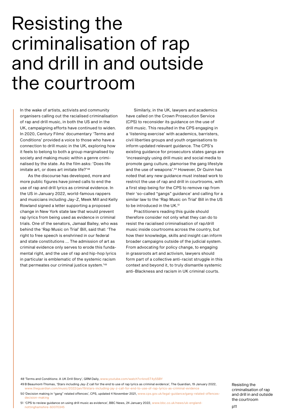## <span id="page-11-0"></span>Resisting the criminalisation of rap and drill in and outside the courtroom

In the wake of artists, activists and community organisers calling out the racialised criminalisation of rap and drill music, in both the US and in the UK, campaigning efforts have continued to widen. In 2020, Century Films' documentary 'Terms and Conditions' provided a voice to those who have a connection to drill music in the UK, exploring how it feels to belong to both a group marginalised by society and making music within a genre criminalised by the state. As the film asks: 'Does life imitate art, or does art imitate life?'48

As the discourse has developed, more and more public figures have joined calls to end the use of rap and drill lyrics as criminal evidence. In the US in January 2022, world-famous rappers and musicians including Jay-Z, Meek Mill and Kelly Rowland signed a letter supporting a proposed change in New York state law that would prevent rap lyrics from being used as evidence in criminal trials. One of the senators, Jamaal Bailey, who was behind the 'Rap Music on Trial' Bill, said that: 'The right to free speech is enshrined in our federal and state constitutions ... The admission of art as criminal evidence only serves to erode this fundamental right, and the use of rap and hip-hop lyrics in particular is emblematic of the systemic racism that permeates our criminal justice system.'49

Similarly, in the UK, lawyers and academics have called on the Crown Prosecution Service (CPS) to reconsider its guidance on the use of drill music. This resulted in the CPS engaging in a 'listening exercise' with academics, barristers, civil liberties groups and youth organisations to inform updated relevant guidance. The CPS's existing guidance for prosecutors states gangs are 'increasingly using drill music and social media to promote gang culture, glamorise the gang lifestyle and the use of weapons'.50 However, Dr Quinn has noted that any new guidance must instead work to restrict the use of rap and drill in courtrooms, with a first step being for the CPS to remove rap from their 'so-called "gangs" guidance' and calling for a similar law to the 'Rap Music on Trial' Bill in the US to be introduced in the UK.<sup>51</sup>

Practitioners reading this guide should therefore consider not only what they can do to resist the racialised criminalisation of rap/drill music inside courtrooms across the country, but how their knowledge, skills and insight can inform broader campaigns outside of the judicial system. From advocating for policy change, to engaging in grassroots art and activism, lawyers should form part of a collective anti-racist struggle in this context and beyond it, to truly dismantle systemic anti-Blackness and racism in UK criminal courts.

48 'Terms and Conditions: A UK Drill Story', GRM Daily, [www.youtube.com/watch?v=kno5T4y5SBY](http://www.youtube.com/watch?v=kno5T4y5SBY)

49 B Beaumont-Thomas, 'Stars including Jay-Z call for the end to use of rap lyrics as criminal evidence', The Guardian, 19 January 2022, [www.theguardian.com/music/2022/jan/19/stars-including-jay-z-call-for-end-to-use-of-rap-lyrics-as-criminal-evidence](http://www.theguardian.com/music/2022/jan/19/stars-including-jay-z-call-for-end-to-use-of-rap-lyrics-as-criminal-evidence)

50'Decision making in "gang" related offences', CPS, updated 4 November 2021, [www.cps.gov.uk/legal-guidance/gang-related-offences](http://www.cps.gov.uk/legal-guidance/gang-related-offences-decision-making)[decision-making](http://www.cps.gov.uk/legal-guidance/gang-related-offences-decision-making)

51 'CPS to review guidance on using drill music as evidence', BBC News, 24 January 2022, [www.bbc.co.uk/news/uk-england](http://www.bbc.co.uk/news/uk-england-nottinghamshire-60070345)[nottinghamshire-60070345](http://www.bbc.co.uk/news/uk-england-nottinghamshire-60070345)

Resisting the criminalisation of rap and drill in and outside the courtroom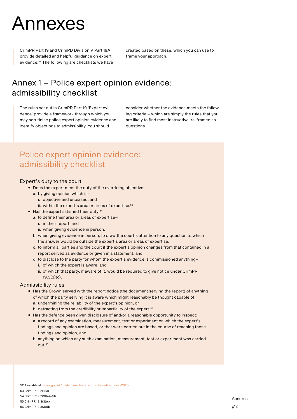## <span id="page-12-0"></span>Annexes

CrimPR Part 19 and CrimPD Division V Part 19A provide detailed and helpful guidance on expert evidence.52 The following are checklists we have created based on these, which you can use to frame your approach.

## Annex 1 – Police expert opinion evidence: admissibility checklist

The rules set out in CrimPR Part 19 'Expert evidence' provide a framework through which you may scrutinise police expert opinion evidence and identify objections to admissibility. You should

consider whether the evidence meets the following criteria – which are simply the rules that you are likely to find most instructive, re-framed as questions.

## Police expert opinion evidence: admissibility checklist

#### Expert's duty to the court

- Does the expert meet the duty of the overriding objective:
	- a. by giving opinion which is–
		- i. objective and unbiased, and
		- ii. within the expert's area or areas of expertise. $53$
- Has the expert satisfied their duty:<sup>54</sup>
	- a. to define their area or areas of expertise–
	- i. in their report, and
	- ii. when giving evidence in person;
	- b. when giving evidence in person, to draw the court's attention to any question to which the answer would be outside the expert's area or areas of expertise;
	- c. to inform all parties and the court if the expert's opinion changes from that contained in a report served as evidence or given in a statement; and
	- d. to disclose to the party for whom the expert's evidence is commissioned anything–
		- i. of which the expert is aware, and
		- ii. of which that party, if aware of it, would be required to give notice under CrimPR 19.3(3)(c).

#### Admissibility rules

- Has the Crown served with the report notice (the document serving the report) of anything of which the party serving it is aware which might reasonably be thought capable of: a. undermining the reliability of the expert's opinion, or
	- b. detracting from the credibility or impartiality of the expert.<sup>55</sup>
- Has the defence been given disclosure of and/or a reasonable opportunity to inspect:
- a. a record of any examination, measurement, test or experiment on which the expert's findings and opinion are based, or that were carried out in the course of reaching those findings and opinion, and
- b. anything on which any such examination, measurement, test or experiment was carried out.56

52 Available at: [www.gov.uk/guidance/rules-and-practice-directions-2020](http://www.gov.uk/guidance/rules-and-practice-directions-2020) 53 CrimPR 19.2(1)(a) 54 CrimPR 19.2(3)(a)–(d)

55 CrimPR 19.3(3)(c) 56 CrimPR 19.3(3)(d)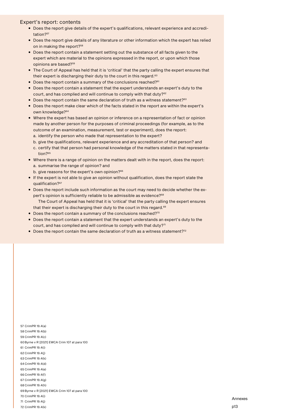#### Expert's report: contents

- Does the report give details of the expert's qualifications, relevant experience and accreditation?<sup>57</sup>
- Does the report give details of any literature or other information which the expert has relied on in making the report?<sup>58</sup>
- Does the report contain a statement setting out the substance of all facts given to the expert which are material to the opinions expressed in the report, or upon which those opinions are based?59
- The Court of Appeal has held that it is 'critical' that the party calling the expert ensures that their expert is discharging their duty to the court in this regard.<sup>60</sup>
- Does the report contain a summary of the conclusions reached?<sup>61</sup>
- Does the report contain a statement that the expert understands an expert's duty to the court, and has complied and will continue to comply with that duty?<sup>62</sup>
- Does the report contain the same declaration of truth as a witness statement?<sup>63</sup>
- Does the report make clear which of the facts stated in the report are within the expert's own knowledge?64
- Where the expert has based an opinion or inference on a representation of fact or opinion made by another person for the purposes of criminal proceedings (for example, as to the outcome of an examination, measurement, test or experiment), does the report: a. identify the person who made that representation to the expert?
	- b. give the qualifications, relevant experience and any accreditation of that person? and
	- c. certify that that person had personal knowledge of the matters stated in that representation?<sup>65</sup>
- Where there is a range of opinion on the matters dealt with in the report, does the report: a. summarise the range of opinion? and
	- b. give reasons for the expert's own opinion?<sup>66</sup>
- If the expert is not able to give an opinion without qualification, does the report state the qualification?67
- Does the report include such information as the court may need to decide whether the expert's opinion is sufficiently reliable to be admissible as evidence?<sup>68</sup> The Court of Appeal has held that it is 'critical' that the party calling the expert ensures that their expert is discharging their duty to the court in this regard.<sup>69</sup>
- Does the report contain a summary of the conclusions reached?70
- Does the report contain a statement that the expert understands an expert's duty to the court, and has complied and will continue to comply with that duty?<sup>71</sup>
- Does the report contain the same declaration of truth as a witness statement?<sup>72</sup>

 CrimPR 19.4(a) CrimPR 19.4(b) CrimPR 19.4(c) 60Byrne v R [2021] EWCA Crim 107 at para 100 CrimPR 19.4(i) CrimPR 19.4(j) CrimPR 19.4(k) CrimPR 19.4(d) CrimPR 19.4(e) CrimPR 19.4(f) CrimPR 19.4(g) CrimPR 19.4(h) Byrne v R [2021] EWCA Crim 107 at para 100 CrimPR 19.4(i) CrimPR 19.4(j) CrimPR 19.4(k)

Annexes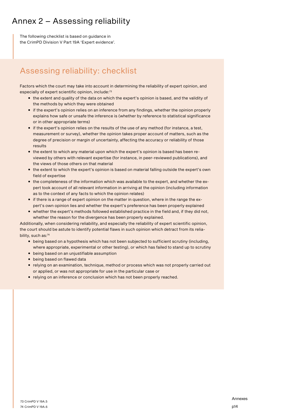## Annex 2 – Assessing reliability

The following checklist is based on guidance in the CrimPD Division V Part 19A 'Expert evidence'.

## Assessing reliability: checklist

Factors which the court may take into account in determining the reliability of expert opinion, and especially of expert scientific opinion, include:<sup>73</sup>

- the extent and quality of the data on which the expert's opinion is based, and the validity of the methods by which they were obtained
- if the expert's opinion relies on an inference from any findings, whether the opinion properly explains how safe or unsafe the inference is (whether by reference to statistical significance or in other appropriate terms)
- if the expert's opinion relies on the results of the use of any method (for instance, a test, measurement or survey), whether the opinion takes proper account of matters, such as the degree of precision or margin of uncertainty, affecting the accuracy or reliability of those results
- the extent to which any material upon which the expert's opinion is based has been reviewed by others with relevant expertise (for instance, in peer-reviewed publications), and the views of those others on that material
- the extent to which the expert's opinion is based on material falling outside the expert's own field of expertise
- the completeness of the information which was available to the expert, and whether the expert took account of all relevant information in arriving at the opinion (including information as to the context of any facts to which the opinion relates)
- if there is a range of expert opinion on the matter in question, where in the range the expert's own opinion lies and whether the expert's preference has been properly explained
- whether the expert's methods followed established practice in the field and, if they did not, whether the reason for the divergence has been properly explained.

Additionally, when considering reliability, and especially the reliability of expert scientific opinion, the court should be astute to identify potential flaws in such opinion which detract from its reliability, such as:<sup>74</sup>

- being based on a hypothesis which has not been subjected to sufficient scrutiny (including, where appropriate, experimental or other testing), or which has failed to stand up to scrutiny
- being based on an unjustifiable assumption
- being based on flawed data
- relying on an examination, technique, method or process which was not properly carried out or applied, or was not appropriate for use in the particular case or
- relying on an inference or conclusion which has not been properly reached.